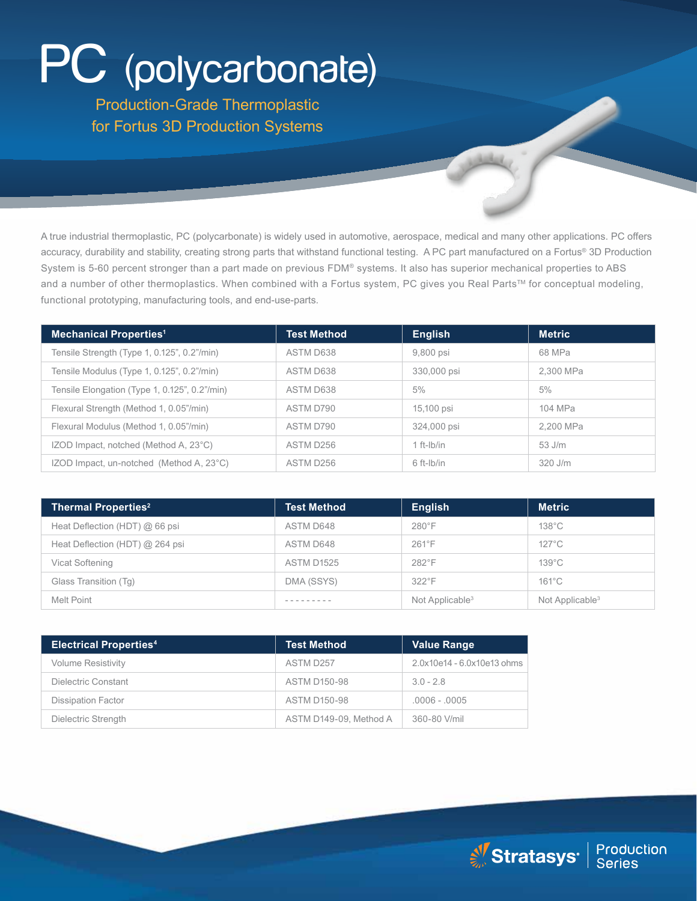# PC (polycarbonate)

Production-Grade Thermoplastic for Fortus 3D Production Systems

A true industrial thermoplastic, PC (polycarbonate) is widely used in automotive, aerospace, medical and many other applications. PC offers accuracy, durability and stability, creating strong parts that withstand functional testing. A PC part manufactured on a Fortus® 3D Production System is 5-60 percent stronger than a part made on previous FDM® systems. It also has superior mechanical properties to ABS and a number of other thermoplastics. When combined with a Fortus system, PC gives you Real Parts™ for conceptual modeling, functional prototyping, manufacturing tools, and end-use-parts.

| <b>Mechanical Properties<sup>1</sup></b>      | <b>Test Method</b> | <b>English</b> | <b>Metric</b> |
|-----------------------------------------------|--------------------|----------------|---------------|
| Tensile Strength (Type 1, 0.125", 0.2"/min)   | ASTM D638          | 9,800 psi      | 68 MPa        |
| Tensile Modulus (Type 1, 0.125", 0.2"/min)    | ASTM D638          | 330,000 psi    | 2.300 MPa     |
| Tensile Elongation (Type 1, 0.125", 0.2"/min) | ASTM D638          | 5%             | 5%            |
| Flexural Strength (Method 1, 0.05"/min)       | ASTM D790          | 15,100 psi     | 104 MPa       |
| Flexural Modulus (Method 1, 0.05"/min)        | ASTM D790          | 324,000 psi    | 2,200 MPa     |
| IZOD Impact, notched (Method A, 23°C)         | ASTM D256          | $1$ ft-lb/in   | $53$ J/m      |
| IZOD Impact, un-notched (Method A, 23°C)      | ASTM D256          | 6 ft-lb/in     | 320 J/m       |

| <b>Thermal Properties<sup>2</sup></b> | <b>Test Method</b> | <b>English</b>     | <b>Metric</b>               |
|---------------------------------------|--------------------|--------------------|-----------------------------|
| Heat Deflection (HDT) @ 66 psi        | ASTM D648          | $280^\circ F$      | $138^{\circ}$ C             |
| Heat Deflection (HDT) @ 264 psi       | ASTM D648          | $261^\circ F$      | $127^{\circ}$ C             |
| Vicat Softening                       | <b>ASTM D1525</b>  | 282°F              | $139^{\circ}$ C             |
| Glass Transition (Tg)                 | DMA (SSYS)         | $322^\circ F$      | $161^{\circ}$ C             |
| Melt Point                            |                    | Not Applicable $3$ | Not Applicable <sup>3</sup> |

| <b>Electrical Properties4</b> | <b>Test Method</b>     | <b>Value Range</b>         |
|-------------------------------|------------------------|----------------------------|
| <b>Volume Resistivity</b>     | ASTM D257              | 2.0x10e14 - 6.0x10e13 ohms |
| Dielectric Constant           | <b>ASTM D150-98</b>    | $3.0 - 2.8$                |
| <b>Dissipation Factor</b>     | <b>ASTM D150-98</b>    | $.0006 - .0005$            |
| Dielectric Strength           | ASTM D149-09, Method A | 360-80 V/mil               |

Stratasys<sup>®</sup> | Production